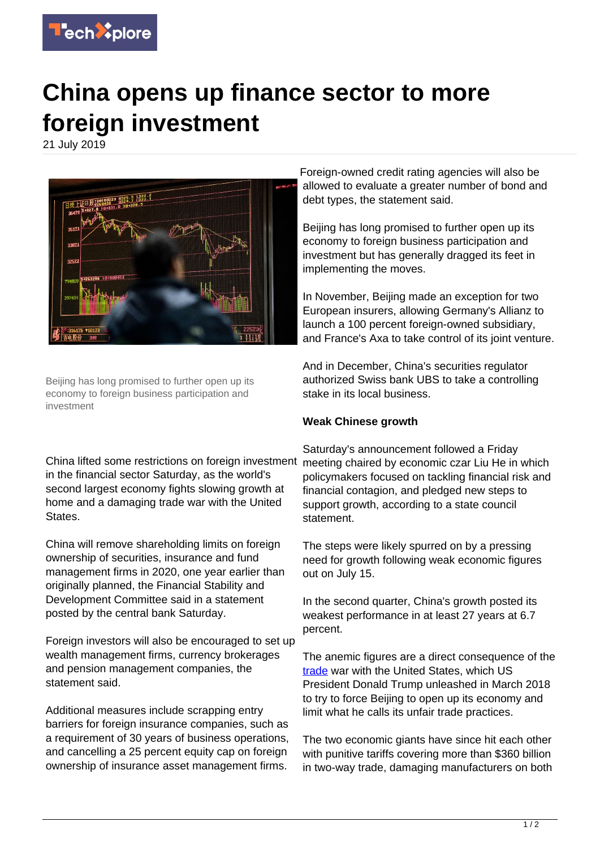

## **China opens up finance sector to more foreign investment**

21 July 2019



Beijing has long promised to further open up its economy to foreign business participation and investment

China lifted some restrictions on foreign investment in the financial sector Saturday, as the world's second largest economy fights slowing growth at home and a damaging trade war with the United States.

China will remove shareholding limits on foreign ownership of securities, insurance and fund management firms in 2020, one year earlier than originally planned, the Financial Stability and Development Committee said in a statement posted by the central bank Saturday.

Foreign investors will also be encouraged to set up wealth management firms, currency brokerages and pension management companies, the statement said.

Additional measures include scrapping entry barriers for foreign insurance companies, such as a requirement of 30 years of business operations, and cancelling a 25 percent equity cap on foreign ownership of insurance asset management firms.

Foreign-owned credit rating agencies will also be allowed to evaluate a greater number of bond and debt types, the statement said.

Beijing has long promised to further open up its economy to foreign business participation and investment but has generally dragged its feet in implementing the moves.

In November, Beijing made an exception for two European insurers, allowing Germany's Allianz to launch a 100 percent foreign-owned subsidiary, and France's Axa to take control of its joint venture.

And in December, China's securities regulator authorized Swiss bank UBS to take a controlling stake in its local business.

## **Weak Chinese growth**

Saturday's announcement followed a Friday meeting chaired by economic czar Liu He in which policymakers focused on tackling financial risk and financial contagion, and pledged new steps to support growth, according to a state council statement.

The steps were likely spurred on by a pressing need for growth following weak economic figures out on July 15.

In the second quarter, China's growth posted its weakest performance in at least 27 years at 6.7 percent.

The anemic figures are a direct consequence of the [trade](https://techxplore.com/tags/trade/) war with the United States, which US President Donald Trump unleashed in March 2018 to try to force Beijing to open up its economy and limit what he calls its unfair trade practices.

The two economic giants have since hit each other with punitive tariffs covering more than \$360 billion in two-way trade, damaging manufacturers on both